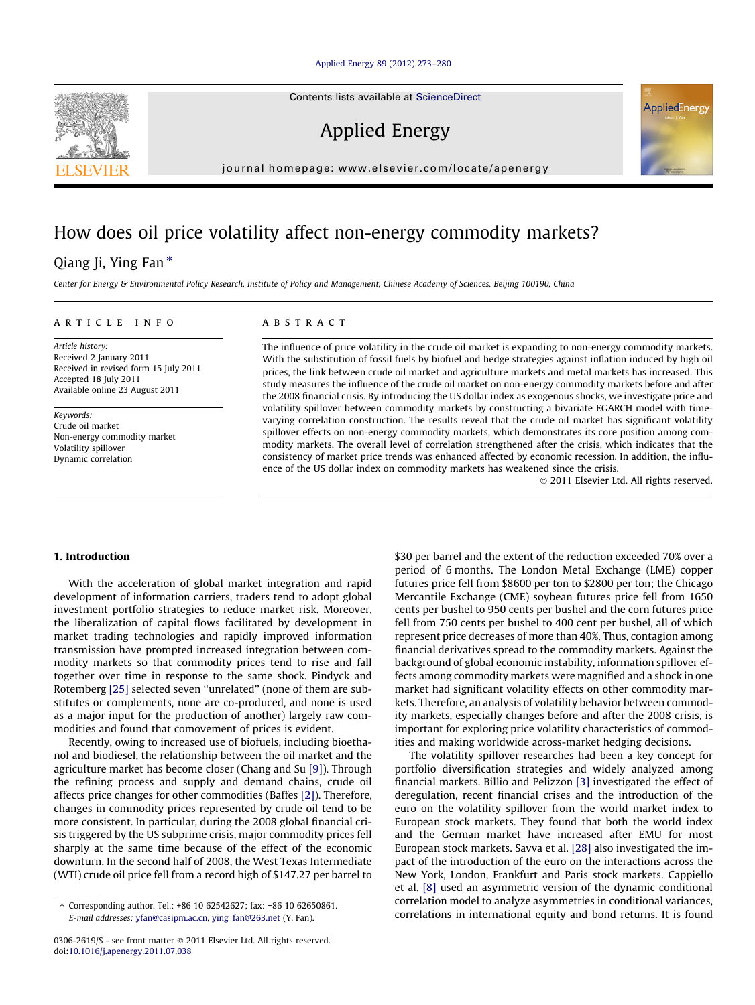#### [Applied Energy 89 \(2012\) 273–280](http://dx.doi.org/10.1016/j.apenergy.2011.07.038)

Contents lists available at [ScienceDirect](http://www.sciencedirect.com/science/journal/03062619)

Applied Energy

journal homepage: [www.elsevier.com/locate/apenergy](http://www.elsevier.com/locate/apenergy)

## How does oil price volatility affect non-energy commodity markets?

### Qiang Ji, Ying Fan  $*$

Center for Energy & Environmental Policy Research, Institute of Policy and Management, Chinese Academy of Sciences, Beijing 100190, China

#### article info

Article history: Received 2 January 2011 Received in revised form 15 July 2011 Accepted 18 July 2011 Available online 23 August 2011

Keywords: Crude oil market Non-energy commodity market Volatility spillover Dynamic correlation

#### **ABSTRACT**

The influence of price volatility in the crude oil market is expanding to non-energy commodity markets. With the substitution of fossil fuels by biofuel and hedge strategies against inflation induced by high oil prices, the link between crude oil market and agriculture markets and metal markets has increased. This study measures the influence of the crude oil market on non-energy commodity markets before and after the 2008 financial crisis. By introducing the US dollar index as exogenous shocks, we investigate price and volatility spillover between commodity markets by constructing a bivariate EGARCH model with timevarying correlation construction. The results reveal that the crude oil market has significant volatility spillover effects on non-energy commodity markets, which demonstrates its core position among commodity markets. The overall level of correlation strengthened after the crisis, which indicates that the consistency of market price trends was enhanced affected by economic recession. In addition, the influence of the US dollar index on commodity markets has weakened since the crisis.

- 2011 Elsevier Ltd. All rights reserved.

#### 1. Introduction

With the acceleration of global market integration and rapid development of information carriers, traders tend to adopt global investment portfolio strategies to reduce market risk. Moreover, the liberalization of capital flows facilitated by development in market trading technologies and rapidly improved information transmission have prompted increased integration between commodity markets so that commodity prices tend to rise and fall together over time in response to the same shock. Pindyck and Rotemberg [\[25\]](#page--1-0) selected seven "unrelated" (none of them are substitutes or complements, none are co-produced, and none is used as a major input for the production of another) largely raw commodities and found that comovement of prices is evident.

Recently, owing to increased use of biofuels, including bioethanol and biodiesel, the relationship between the oil market and the agriculture market has become closer (Chang and Su [\[9\]\)](#page--1-0). Through the refining process and supply and demand chains, crude oil affects price changes for other commodities (Baffes [\[2\]](#page--1-0)). Therefore, changes in commodity prices represented by crude oil tend to be more consistent. In particular, during the 2008 global financial crisis triggered by the US subprime crisis, major commodity prices fell sharply at the same time because of the effect of the economic downturn. In the second half of 2008, the West Texas Intermediate (WTI) crude oil price fell from a record high of \$147.27 per barrel to \$30 per barrel and the extent of the reduction exceeded 70% over a period of 6 months. The London Metal Exchange (LME) copper futures price fell from \$8600 per ton to \$2800 per ton; the Chicago Mercantile Exchange (CME) soybean futures price fell from 1650 cents per bushel to 950 cents per bushel and the corn futures price fell from 750 cents per bushel to 400 cent per bushel, all of which represent price decreases of more than 40%. Thus, contagion among financial derivatives spread to the commodity markets. Against the background of global economic instability, information spillover effects among commodity markets were magnified and a shock in one market had significant volatility effects on other commodity markets. Therefore, an analysis of volatility behavior between commodity markets, especially changes before and after the 2008 crisis, is important for exploring price volatility characteristics of commodities and making worldwide across-market hedging decisions.

The volatility spillover researches had been a key concept for portfolio diversification strategies and widely analyzed among financial markets. Billio and Pelizzon [\[3\]](#page--1-0) investigated the effect of deregulation, recent financial crises and the introduction of the euro on the volatility spillover from the world market index to European stock markets. They found that both the world index and the German market have increased after EMU for most European stock markets. Savva et al. [\[28\]](#page--1-0) also investigated the impact of the introduction of the euro on the interactions across the New York, London, Frankfurt and Paris stock markets. Cappiello et al. [\[8\]](#page--1-0) used an asymmetric version of the dynamic conditional correlation model to analyze asymmetries in conditional variances, correlations in international equity and bond returns. It is found





<sup>⇑</sup> Corresponding author. Tel.: +86 10 62542627; fax: +86 10 62650861. E-mail addresses: [yfan@casipm.ac.cn,](mailto:yfan@casipm.ac.cn) [ying\\_fan@263.net](mailto:ying_fan@263.net) (Y. Fan).

<sup>0306-2619/\$ -</sup> see front matter © 2011 Elsevier Ltd. All rights reserved. doi[:10.1016/j.apenergy.2011.07.038](http://dx.doi.org/10.1016/j.apenergy.2011.07.038)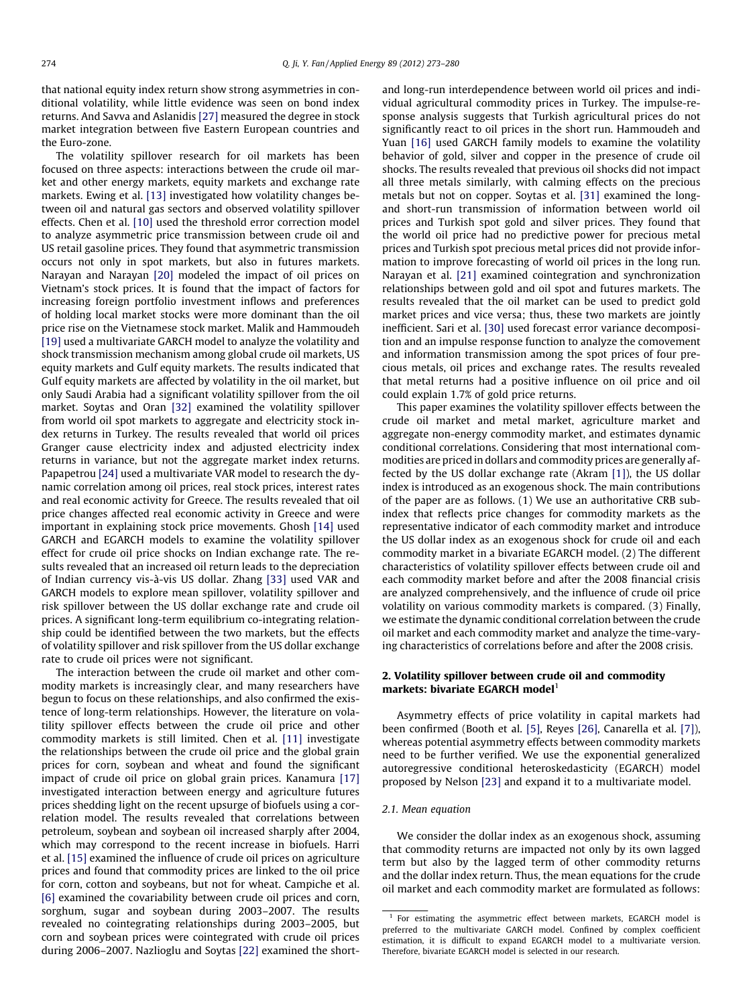that national equity index return show strong asymmetries in conditional volatility, while little evidence was seen on bond index returns. And Savva and Aslanidis [\[27\]](#page--1-0) measured the degree in stock market integration between five Eastern European countries and the Euro-zone.

The volatility spillover research for oil markets has been focused on three aspects: interactions between the crude oil market and other energy markets, equity markets and exchange rate markets. Ewing et al. [\[13\]](#page--1-0) investigated how volatility changes between oil and natural gas sectors and observed volatility spillover effects. Chen et al. [\[10\]](#page--1-0) used the threshold error correction model to analyze asymmetric price transmission between crude oil and US retail gasoline prices. They found that asymmetric transmission occurs not only in spot markets, but also in futures markets. Narayan and Narayan [\[20\]](#page--1-0) modeled the impact of oil prices on Vietnam's stock prices. It is found that the impact of factors for increasing foreign portfolio investment inflows and preferences of holding local market stocks were more dominant than the oil price rise on the Vietnamese stock market. Malik and Hammoudeh [\[19\]](#page--1-0) used a multivariate GARCH model to analyze the volatility and shock transmission mechanism among global crude oil markets, US equity markets and Gulf equity markets. The results indicated that Gulf equity markets are affected by volatility in the oil market, but only Saudi Arabia had a significant volatility spillover from the oil market. Soytas and Oran [\[32\]](#page--1-0) examined the volatility spillover from world oil spot markets to aggregate and electricity stock index returns in Turkey. The results revealed that world oil prices Granger cause electricity index and adjusted electricity index returns in variance, but not the aggregate market index returns. Papapetrou [\[24\]](#page--1-0) used a multivariate VAR model to research the dynamic correlation among oil prices, real stock prices, interest rates and real economic activity for Greece. The results revealed that oil price changes affected real economic activity in Greece and were important in explaining stock price movements. Ghosh [14] used GARCH and EGARCH models to examine the volatility spillover effect for crude oil price shocks on Indian exchange rate. The results revealed that an increased oil return leads to the depreciation of Indian currency vis-à-vis US dollar. Zhang [\[33\]](#page--1-0) used VAR and GARCH models to explore mean spillover, volatility spillover and risk spillover between the US dollar exchange rate and crude oil prices. A significant long-term equilibrium co-integrating relationship could be identified between the two markets, but the effects of volatility spillover and risk spillover from the US dollar exchange rate to crude oil prices were not significant.

The interaction between the crude oil market and other commodity markets is increasingly clear, and many researchers have begun to focus on these relationships, and also confirmed the existence of long-term relationships. However, the literature on volatility spillover effects between the crude oil price and other commodity markets is still limited. Chen et al. [\[11\]](#page--1-0) investigate the relationships between the crude oil price and the global grain prices for corn, soybean and wheat and found the significant impact of crude oil price on global grain prices. Kanamura [\[17\]](#page--1-0) investigated interaction between energy and agriculture futures prices shedding light on the recent upsurge of biofuels using a correlation model. The results revealed that correlations between petroleum, soybean and soybean oil increased sharply after 2004, which may correspond to the recent increase in biofuels. Harri et al. [\[15\]](#page--1-0) examined the influence of crude oil prices on agriculture prices and found that commodity prices are linked to the oil price for corn, cotton and soybeans, but not for wheat. Campiche et al. [\[6\]](#page--1-0) examined the covariability between crude oil prices and corn, sorghum, sugar and soybean during 2003–2007. The results revealed no cointegrating relationships during 2003–2005, but corn and soybean prices were cointegrated with crude oil prices during 2006–2007. Nazlioglu and Soytas [22] examined the shortand long-run interdependence between world oil prices and individual agricultural commodity prices in Turkey. The impulse-response analysis suggests that Turkish agricultural prices do not significantly react to oil prices in the short run. Hammoudeh and Yuan [\[16\]](#page--1-0) used GARCH family models to examine the volatility behavior of gold, silver and copper in the presence of crude oil shocks. The results revealed that previous oil shocks did not impact all three metals similarly, with calming effects on the precious metals but not on copper. Soytas et al. [\[31\]](#page--1-0) examined the longand short-run transmission of information between world oil prices and Turkish spot gold and silver prices. They found that the world oil price had no predictive power for precious metal prices and Turkish spot precious metal prices did not provide information to improve forecasting of world oil prices in the long run. Narayan et al. [\[21\]](#page--1-0) examined cointegration and synchronization relationships between gold and oil spot and futures markets. The results revealed that the oil market can be used to predict gold market prices and vice versa; thus, these two markets are jointly inefficient. Sari et al. [\[30\]](#page--1-0) used forecast error variance decomposition and an impulse response function to analyze the comovement and information transmission among the spot prices of four precious metals, oil prices and exchange rates. The results revealed that metal returns had a positive influence on oil price and oil could explain 1.7% of gold price returns.

This paper examines the volatility spillover effects between the crude oil market and metal market, agriculture market and aggregate non-energy commodity market, and estimates dynamic conditional correlations. Considering that most international commodities are priced in dollars and commodity prices are generally affected by the US dollar exchange rate (Akram [\[1\]\)](#page--1-0), the US dollar index is introduced as an exogenous shock. The main contributions of the paper are as follows. (1) We use an authoritative CRB subindex that reflects price changes for commodity markets as the representative indicator of each commodity market and introduce the US dollar index as an exogenous shock for crude oil and each commodity market in a bivariate EGARCH model. (2) The different characteristics of volatility spillover effects between crude oil and each commodity market before and after the 2008 financial crisis are analyzed comprehensively, and the influence of crude oil price volatility on various commodity markets is compared. (3) Finally, we estimate the dynamic conditional correlation between the crude oil market and each commodity market and analyze the time-varying characteristics of correlations before and after the 2008 crisis.

#### 2. Volatility spillover between crude oil and commodity markets: bivariate EGARCH model $^1$

Asymmetry effects of price volatility in capital markets had been confirmed (Booth et al. [\[5\]](#page--1-0), Reyes [\[26\],](#page--1-0) Canarella et al. [\[7\]\)](#page--1-0), whereas potential asymmetry effects between commodity markets need to be further verified. We use the exponential generalized autoregressive conditional heteroskedasticity (EGARCH) model proposed by Nelson [\[23\]](#page--1-0) and expand it to a multivariate model.

#### 2.1. Mean equation

We consider the dollar index as an exogenous shock, assuming that commodity returns are impacted not only by its own lagged term but also by the lagged term of other commodity returns and the dollar index return. Thus, the mean equations for the crude oil market and each commodity market are formulated as follows:

 $1$  For estimating the asymmetric effect between markets, EGARCH model is preferred to the multivariate GARCH model. Confined by complex coefficient estimation, it is difficult to expand EGARCH model to a multivariate version. Therefore, bivariate EGARCH model is selected in our research.